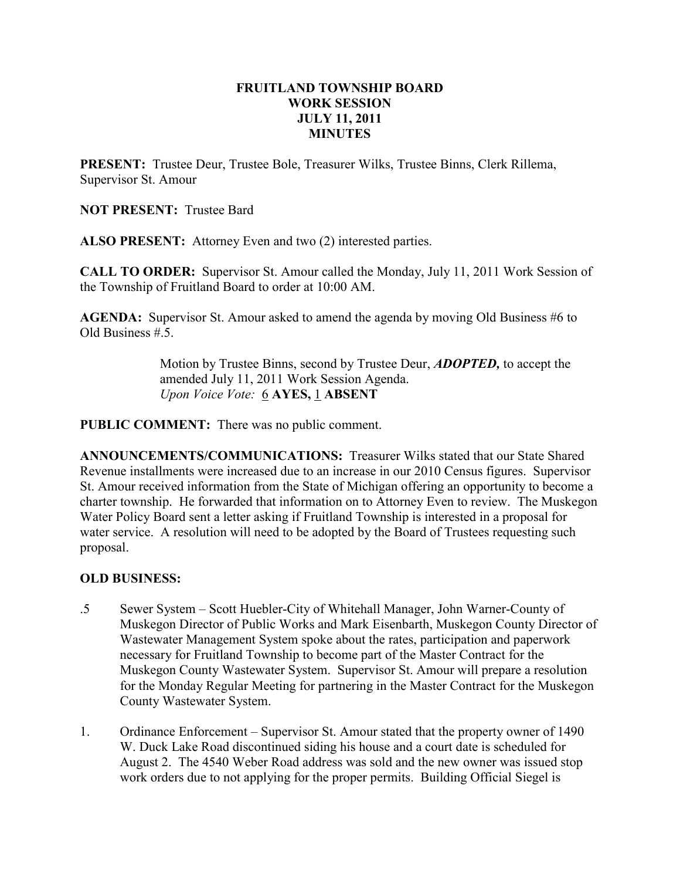#### FRUITLAND TOWNSHIP BOARD WORK SESSION JULY 11, 2011 MINUTES

PRESENT: Trustee Deur, Trustee Bole, Treasurer Wilks, Trustee Binns, Clerk Rillema, Supervisor St. Amour

NOT PRESENT: Trustee Bard

ALSO PRESENT: Attorney Even and two (2) interested parties.

CALL TO ORDER: Supervisor St. Amour called the Monday, July 11, 2011 Work Session of the Township of Fruitland Board to order at 10:00 AM.

AGENDA: Supervisor St. Amour asked to amend the agenda by moving Old Business #6 to Old Business  $# 5$ .

> Motion by Trustee Binns, second by Trustee Deur, **ADOPTED**, to accept the amended July 11, 2011 Work Session Agenda. Upon Voice Vote: 6 AYES, 1 ABSENT

PUBLIC COMMENT: There was no public comment.

ANNOUNCEMENTS/COMMUNICATIONS: Treasurer Wilks stated that our State Shared Revenue installments were increased due to an increase in our 2010 Census figures. Supervisor St. Amour received information from the State of Michigan offering an opportunity to become a charter township. He forwarded that information on to Attorney Even to review. The Muskegon Water Policy Board sent a letter asking if Fruitland Township is interested in a proposal for water service. A resolution will need to be adopted by the Board of Trustees requesting such proposal.

#### OLD BUSINESS:

- .5 Sewer System Scott Huebler-City of Whitehall Manager, John Warner-County of Muskegon Director of Public Works and Mark Eisenbarth, Muskegon County Director of Wastewater Management System spoke about the rates, participation and paperwork necessary for Fruitland Township to become part of the Master Contract for the Muskegon County Wastewater System. Supervisor St. Amour will prepare a resolution for the Monday Regular Meeting for partnering in the Master Contract for the Muskegon County Wastewater System.
- 1. Ordinance Enforcement Supervisor St. Amour stated that the property owner of 1490 W. Duck Lake Road discontinued siding his house and a court date is scheduled for August 2. The 4540 Weber Road address was sold and the new owner was issued stop work orders due to not applying for the proper permits. Building Official Siegel is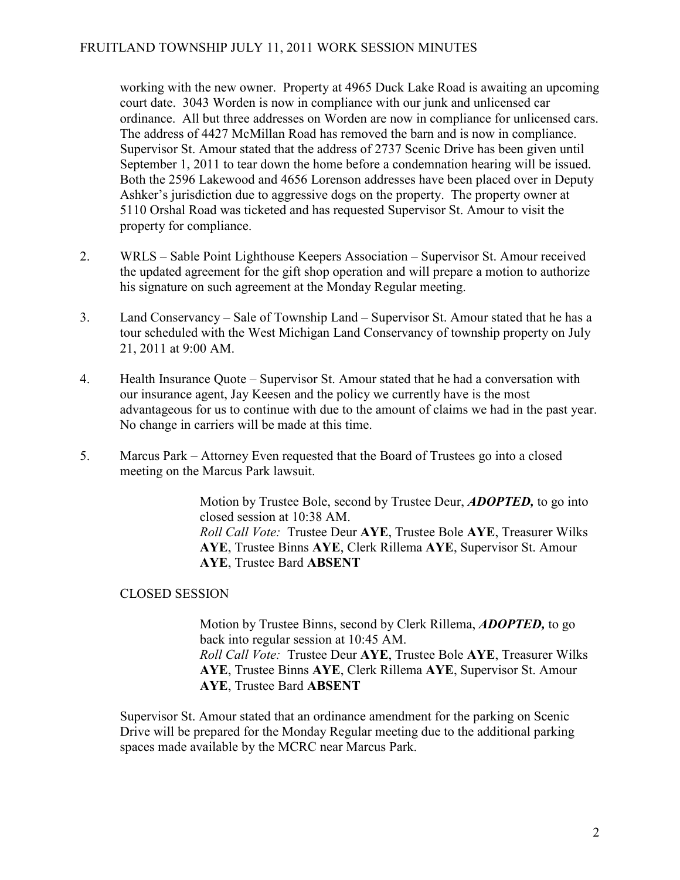working with the new owner. Property at 4965 Duck Lake Road is awaiting an upcoming court date. 3043 Worden is now in compliance with our junk and unlicensed car ordinance. All but three addresses on Worden are now in compliance for unlicensed cars. The address of 4427 McMillan Road has removed the barn and is now in compliance. Supervisor St. Amour stated that the address of 2737 Scenic Drive has been given until September 1, 2011 to tear down the home before a condemnation hearing will be issued. Both the 2596 Lakewood and 4656 Lorenson addresses have been placed over in Deputy Ashker's jurisdiction due to aggressive dogs on the property. The property owner at 5110 Orshal Road was ticketed and has requested Supervisor St. Amour to visit the property for compliance.

- 2. WRLS Sable Point Lighthouse Keepers Association Supervisor St. Amour received the updated agreement for the gift shop operation and will prepare a motion to authorize his signature on such agreement at the Monday Regular meeting.
- 3. Land Conservancy Sale of Township Land Supervisor St. Amour stated that he has a tour scheduled with the West Michigan Land Conservancy of township property on July 21, 2011 at 9:00 AM.
- 4. Health Insurance Quote Supervisor St. Amour stated that he had a conversation with our insurance agent, Jay Keesen and the policy we currently have is the most advantageous for us to continue with due to the amount of claims we had in the past year. No change in carriers will be made at this time.
- 5. Marcus Park Attorney Even requested that the Board of Trustees go into a closed meeting on the Marcus Park lawsuit.

Motion by Trustee Bole, second by Trustee Deur, **ADOPTED**, to go into closed session at 10:38 AM. Roll Call Vote: Trustee Deur AYE, Trustee Bole AYE, Treasurer Wilks AYE, Trustee Binns AYE, Clerk Rillema AYE, Supervisor St. Amour AYE, Trustee Bard ABSENT

# CLOSED SESSION

Motion by Trustee Binns, second by Clerk Rillema, ADOPTED, to go back into regular session at 10:45 AM. Roll Call Vote: Trustee Deur AYE, Trustee Bole AYE, Treasurer Wilks AYE, Trustee Binns AYE, Clerk Rillema AYE, Supervisor St. Amour AYE, Trustee Bard ABSENT

Supervisor St. Amour stated that an ordinance amendment for the parking on Scenic Drive will be prepared for the Monday Regular meeting due to the additional parking spaces made available by the MCRC near Marcus Park.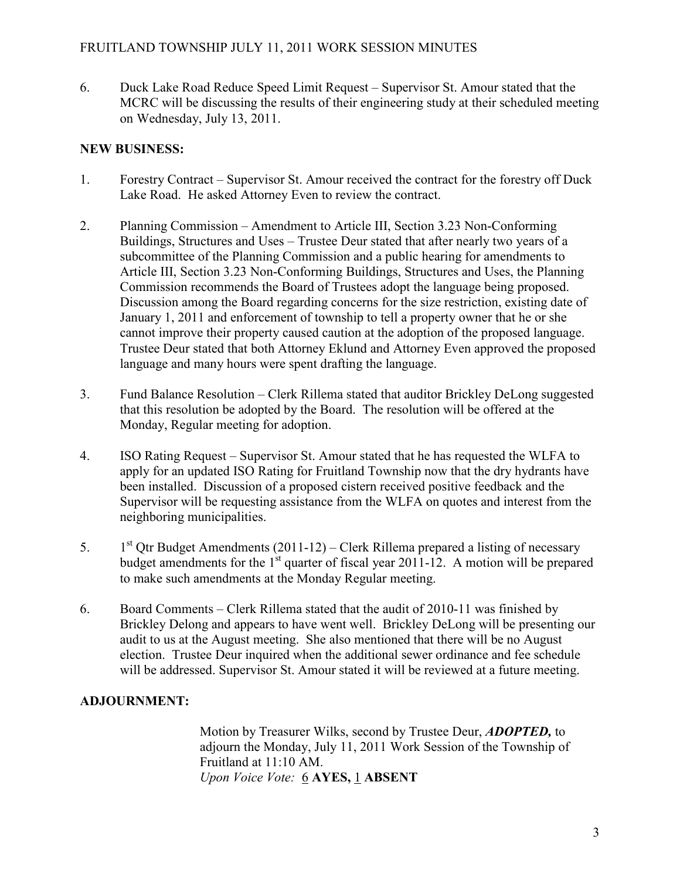6. Duck Lake Road Reduce Speed Limit Request – Supervisor St. Amour stated that the MCRC will be discussing the results of their engineering study at their scheduled meeting on Wednesday, July 13, 2011.

### NEW BUSINESS:

- 1. Forestry Contract Supervisor St. Amour received the contract for the forestry off Duck Lake Road. He asked Attorney Even to review the contract.
- 2. Planning Commission Amendment to Article III, Section 3.23 Non-Conforming Buildings, Structures and Uses – Trustee Deur stated that after nearly two years of a subcommittee of the Planning Commission and a public hearing for amendments to Article III, Section 3.23 Non-Conforming Buildings, Structures and Uses, the Planning Commission recommends the Board of Trustees adopt the language being proposed. Discussion among the Board regarding concerns for the size restriction, existing date of January 1, 2011 and enforcement of township to tell a property owner that he or she cannot improve their property caused caution at the adoption of the proposed language. Trustee Deur stated that both Attorney Eklund and Attorney Even approved the proposed language and many hours were spent drafting the language.
- 3. Fund Balance Resolution Clerk Rillema stated that auditor Brickley DeLong suggested that this resolution be adopted by the Board. The resolution will be offered at the Monday, Regular meeting for adoption.
- 4. ISO Rating Request Supervisor St. Amour stated that he has requested the WLFA to apply for an updated ISO Rating for Fruitland Township now that the dry hydrants have been installed. Discussion of a proposed cistern received positive feedback and the Supervisor will be requesting assistance from the WLFA on quotes and interest from the neighboring municipalities.
- 5.  $1<sup>st</sup>$  Otr Budget Amendments (2011-12) Clerk Rillema prepared a listing of necessary budget amendments for the  $1<sup>st</sup>$  quarter of fiscal year 2011-12. A motion will be prepared to make such amendments at the Monday Regular meeting.
- 6. Board Comments Clerk Rillema stated that the audit of 2010-11 was finished by Brickley Delong and appears to have went well. Brickley DeLong will be presenting our audit to us at the August meeting. She also mentioned that there will be no August election. Trustee Deur inquired when the additional sewer ordinance and fee schedule will be addressed. Supervisor St. Amour stated it will be reviewed at a future meeting.

# ADJOURNMENT:

Motion by Treasurer Wilks, second by Trustee Deur, **ADOPTED**, to adjourn the Monday, July 11, 2011 Work Session of the Township of Fruitland at 11:10 AM. Upon Voice Vote: 6 AYES, 1 ABSENT